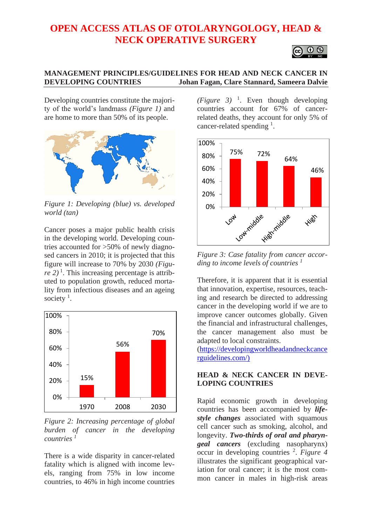# **OPEN ACCESS ATLAS OF OTOLARYNGOLOGY, HEAD & NECK OPERATIVE SURGERY**

O O

## **MANAGEMENT PRINCIPLES/GUIDELINES FOR HEAD AND NECK CANCER IN DEVELOPING COUNTRIES Johan Fagan, Clare Stannard, Sameera Dalvie**

Developing countries constitute the majority of the world's landmass *(Figure 1)* and are home to more than 50% of its people.



*Figure 1: Developing (blue) vs. developed world (tan)*

Cancer poses a major public health crisis in the developing world. Developing countries accounted for >50% of newly diagnosed cancers in 2010; it is projected that this figure will increase to 70% by 2030 *(Figu* $re$  2)<sup>1</sup>. This increasing percentage is attributed to population growth, reduced mortality from infectious diseases and an ageing society<sup> $1$ </sup>.



*Figure 2: Increasing percentage of global burden of cancer in the developing*   $countries$ 

There is a wide disparity in cancer-related fatality which is aligned with income levels, ranging from 75% in low income countries, to 46% in high income countries  $(Figure 3)$ <sup>1</sup>. Even though developing countries account for 67% of cancerrelated deaths, they account for only 5% of cancer-related spending  $<sup>1</sup>$ .</sup>



*Figure 3: Case fatality from cancer according to income levels of countries <sup>1</sup>*

Therefore, it is apparent that it is essential that innovation, expertise, resources, teaching and research be directed to addressing cancer in the developing world if we are to improve cancer outcomes globally. Given the financial and infrastructural challenges, the cancer management also must be adapted to local constraints.

[\(https://developingworldheadandneckcance](https://developingworldheadandneckcancerguidelines.com/) [rguidelines.com/\)](https://developingworldheadandneckcancerguidelines.com/)

## **HEAD & NECK CANCER IN DEVE-LOPING COUNTRIES**

Rapid economic growth in developing countries has been accompanied by *lifestyle changes* associated with squamous cell cancer such as smoking, alcohol, and longevity. *Two-thirds of oral and pharyngeal cancers* (excluding nasopharynx) occur in developing countries <sup>2</sup> . *Figure 4* illustrates the significant geographical variation for oral cancer; it is the most common cancer in males in high-risk areas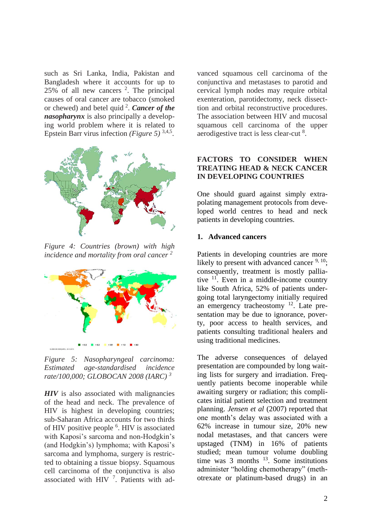such as Sri Lanka, India, Pakistan and Bangladesh where it accounts for up to  $25\%$  of all new cancers  $2$ . The principal causes of oral cancer are tobacco (smoked or chewed) and betel quid <sup>2</sup> . *Cancer of the nasopharynx* is also principally a developing world problem where it is related to Epstein Barr virus infection *(Figure 5)*<sup>3,4,5</sup>.



*Figure 4: Countries (brown) with high incidence and mortality from oral cancer <sup>2</sup>*



*Figure 5: Nasopharyngeal carcinoma: Estimated age-standardised incidence rate/100,000; GLOBOCAN 2008 (IARC) <sup>3</sup>*

**HIV** is also associated with malignancies of the head and neck. The prevalence of HIV is highest in developing countries; sub-Saharan Africa accounts for two thirds of HIV positive people <sup>6</sup>. HIV is associated with Kaposi's sarcoma and non-Hodgkin's (and Hodgkin's) lymphoma; with Kaposi's sarcoma and lymphoma, surgery is restricted to obtaining a tissue biopsy. Squamous cell carcinoma of the conjunctiva is also associated with HIV 7. Patients with advanced squamous cell carcinoma of the conjunctiva and metastases to parotid and cervical lymph nodes may require orbital exenteration, parotidectomy, neck dissecttion and orbital reconstructive procedures. The association between HIV and mucosal squamous cell carcinoma of the upper aerodigestive tract is less clear-cut<sup>8</sup>.

## **FACTORS TO CONSIDER WHEN TREATING HEAD & NECK CANCER IN DEVELOPING COUNTRIES**

One should guard against simply extrapolating management protocols from developed world centres to head and neck patients in developing countries.

## **1. Advanced cancers**

Patients in developing countries are more likely to present with advanced cancer  $9, 10$ ; consequently, treatment is mostly palliative  $11$ . Even in a middle-income country like South Africa, 52% of patients undergoing total laryngectomy initially required an emergency tracheostomy  $12$ . Late presentation may be due to ignorance, poverty, poor access to health services, and patients consulting traditional healers and using traditional medicines.

The adverse consequences of delayed presentation are compounded by long waiting lists for surgery and irradiation. Frequently patients become inoperable while awaiting surgery or radiation; this complicates initial patient selection and treatment planning. *Jensen et al* (2007) reported that one month's delay was associated with a 62% increase in tumour size, 20% new nodal metastases, and that cancers were upstaged (TNM) in 16% of patients studied; mean tumour volume doubling time was  $3$  months  $^{13}$ . Some institutions administer "holding chemotherapy" (methotrexate or platinum-based drugs) in an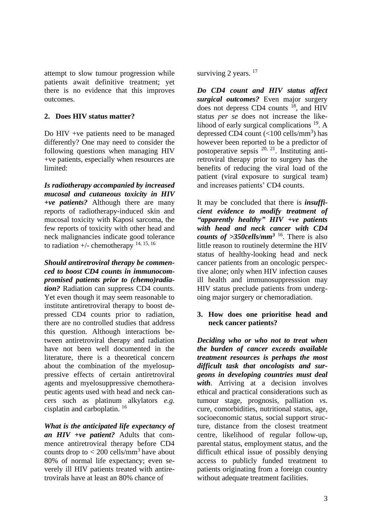attempt to slow tumour progression while patients await definitive treatment; yet there is no evidence that this improves outcomes.

## **2. Does HIV status matter?**

Do HIV +ve patients need to be managed differently? One may need to consider the following questions when managing HIV +ve patients, especially when resources are limited:

*Is radiotherapy accompanied by increased mucosal and cutaneous toxicity in HIV +ve patients?* Although there are many reports of radiotherapy-induced skin and mucosal toxicity with Kaposi sarcoma, the few reports of toxicity with other head and neck malignancies indicate good tolerance to radiation  $+/-$  chemotherapy  $^{14, 15, 16}$ 

*Should antiretroviral therapy be commenced to boost CD4 counts in immunocompromised patients prior to (chemo)radia-*

*tion?* Radiation can suppress CD4 counts. Yet even though it may seem reasonable to institute antiretroviral therapy to boost depressed CD4 counts prior to radiation, there are no controlled studies that address this question. Although interactions between antiretroviral therapy and radiation have not been well documented in the literature, there is a theoretical concern about the combination of the myelosuppressive effects of certain antiretroviral agents and myelosuppressive chemotherapeutic agents used with head and neck cancers such as platinum alkylators *e.g.* cisplatin and carboplatin. 16

*What is the anticipated life expectancy of an HIV +ve patient?* Adults that commence antiretroviral therapy before CD4 counts drop to  $<$  200 cells/mm<sup>3</sup> have about 80% of normal life expectancy; even severely ill HIV patients treated with antiretrovirals have at least an 80% chance of

surviving 2 years.<sup>17</sup>

*Do CD4 count and HIV status affect surgical outcomes?* Even major surgery does not depress CD4 counts <sup>18</sup>, and HIV status *per se* does not increase the likelihood of early surgical complications  $^{19}$ . A depressed CD4 count  $(<100$  cells/mm<sup>3</sup>) has however been reported to be a predictor of postoperative sepsis <sup>20, 21</sup>. Instituting antiretroviral therapy prior to surgery has the benefits of reducing the viral load of the patient (viral exposure to surgical team) and increases patients' CD4 counts.

It may be concluded that there is *insufficient evidence to modify treatment of "apparently healthy" HIV +ve patients with head and neck cancer with CD4 counts of >350cells/mm<sup>3</sup>* <sup>16</sup> . There is also little reason to routinely determine the HIV status of healthy-looking head and neck cancer patients from an oncologic perspective alone; only when HIV infection causes ill health and immunosuppresssion may HIV status preclude patients from undergoing major surgery or chemoradiation.

## **3. How does one prioritise head and neck cancer patients?**

*Deciding who or who not to treat when the burden of cancer exceeds available treatment resources is perhaps the most difficult task that oncologists and surgeons in developing countries must deal with*. Arriving at a decision involves ethical and practical considerations such as tumour stage, prognosis, palliation *vs.* cure, comorbidities, nutritional status, age, socioeconomic status, social support structure, distance from the closest treatment centre, likelihood of regular follow-up, parental status, employment status, and the difficult ethical issue of possibly denying access to publicly funded treatment to patients originating from a foreign country without adequate treatment facilities.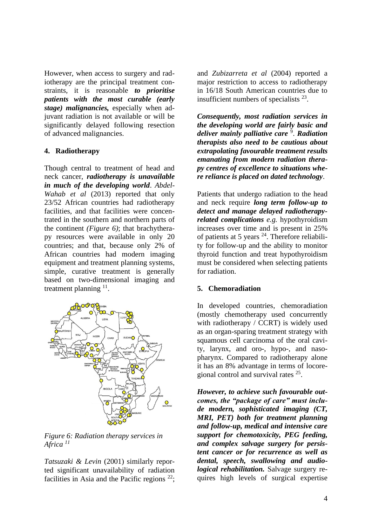However, when access to surgery and radiotherapy are the principal treatment constraints, it is reasonable *to prioritise patients with the most curable (early stage) malignancies,* especially when adjuvant radiation is not available or will be significantly delayed following resection of advanced malignancies.

## **4. Radiotherapy**

Though central to treatment of head and neck cancer, *radiotherapy is unavailable in much of the developing world*. *Abdel-Wahab et al* (2013) reported that only 23/52 African countries had radiotherapy facilities, and that facilities were concentrated in the southern and northern parts of the continent *(Figure 6)*; that brachytherapy resources were available in only 20 countries; and that, because only 2% of African countries had modern imaging equipment and treatment planning systems, simple, curative treatment is generally based on two-dimensional imaging and treatment planning  $11$ .



*Figure 6: Radiation therapy services in Africa <sup>11</sup>*

*Tatsuzaki & Levin* (2001) similarly reported significant unavailability of radiation facilities in Asia and the Pacific regions  $22$ ; and *Zubizarreta et al* (2004) reported a major restriction to access to radiotherapy in 16/18 South American countries due to insufficient numbers of specialists  $2^3$ .

*Consequently, most radiation services in the developing world are fairly basic and deliver mainly palliative care* <sup>9</sup> . *Radiation therapists also need to be cautious about extrapolating favourable treatment results emanating from modern radiation therapy centres of excellence to situations where reliance is placed on dated technology*.

Patients that undergo radiation to the head and neck require *long term follow-up to detect and manage delayed radiotherapyrelated complications e.g.* hypothyroidism increases over time and is present in 25% of patients at 5 years <sup>24</sup>. Therefore reliability for follow-up and the ability to monitor thyroid function and treat hypothyroidism must be considered when selecting patients for radiation.

#### **5. Chemoradiation**

In developed countries, chemoradiation (mostly chemotherapy used concurrently with radiotherapy / CCRT) is widely used as an organ-sparing treatment strategy with squamous cell carcinoma of the oral cavity, larynx, and oro-, hypo-, and nasopharynx. Compared to radiotherapy alone it has an 8% advantage in terms of locoregional control and survival rates <sup>25</sup>.

*However, to achieve such favourable outcomes, the "package of care" must include modern, sophisticated imaging (CT, MRI, PET) both for treatment planning and follow-up, medical and intensive care support for chemotoxicity, PEG feeding, and complex salvage surgery for persistent cancer or for recurrence as well as dental, speech, swallowing and audiological rehabilitation.* Salvage surgery requires high levels of surgical expertise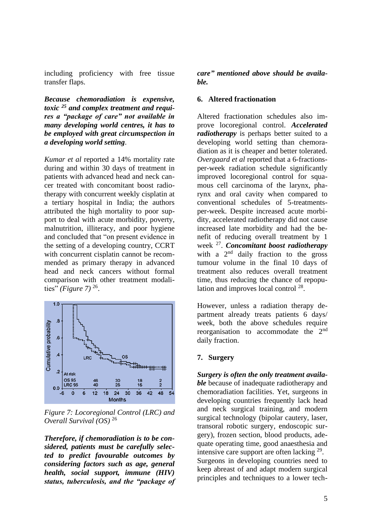including proficiency with free tissue transfer flaps.

*Because chemoradiation is expensive, toxic <sup>25</sup> and complex treatment and requires a "package of care" not available in many developing world centres, it has to be employed with great circumspection in a developing world setting*.

*Kumar et al* reported a 14% mortality rate during and within 30 days of treatment in patients with advanced head and neck cancer treated with concomitant boost radiotherapy with concurrent weekly cisplatin at a tertiary hospital in India; the authors attributed the high mortality to poor support to deal with acute morbidity, poverty, malnutrition, illiteracy, and poor hygiene and concluded that "on present evidence in the setting of a developing country, CCRT with concurrent cisplatin cannot be recommended as primary therapy in advanced head and neck cancers without formal comparison with other treatment modalities" *(Figure 7)* 26 .



*Figure 7: Locoregional Control (LRC) and Overall Survival (OS)* <sup>26</sup>

*Therefore, if chemoradiation is to be considered, patients must be carefully selected to predict favourable outcomes by considering factors such as age, general health, social support, immune (HIV) status, tuberculosis, and the "package of*  *care" mentioned above should be available.*

#### **6. Altered fractionation**

Altered fractionation schedules also improve locoregional control. *Accelerated radiotherapy* is perhaps better suited to a developing world setting than chemoradiation as it is cheaper and better tolerated. *Overgaard et al* reported that a 6-fractionsper-week radiation schedule significantly improved locoregional control for squamous cell carcinoma of the larynx, pharynx and oral cavity when compared to conventional schedules of 5-treatmentsper-week. Despite increased acute morbidity, accelerated radiotherapy did not cause increased late morbidity and had the benefit of reducing overall treatment by 1 week <sup>27</sup> . *Concomitant boost radiotherapy*  with a  $2<sup>nd</sup>$  daily fraction to the gross tumour volume in the final 10 days of treatment also reduces overall treatment time, thus reducing the chance of repopulation and improves local control<sup>28</sup>.

However, unless a radiation therapy department already treats patients 6 days/ week, both the above schedules require reorganisation to accommodate the 2nd daily fraction.

#### **7. Surgery**

*Surgery is often the only treatment available* because of inadequate radiotherapy and chemoradiation facilities. Yet, surgeons in developing countries frequently lack head and neck surgical training, and modern surgical technology (bipolar cautery, laser, transoral robotic surgery, endoscopic surgery), frozen section, blood products, adequate operating time, good anaesthesia and intensive care support are often lacking  $29$ . Surgeons in developing countries need to keep abreast of and adapt modern surgical principles and techniques to a lower tech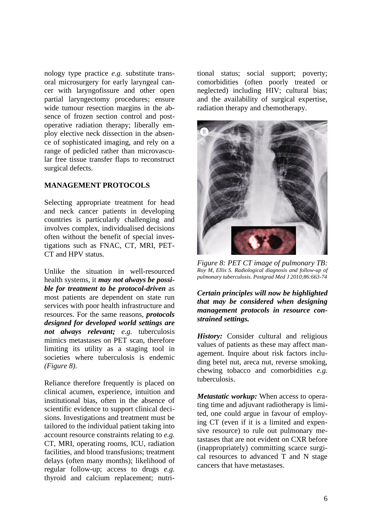nology type practice *e.g.* substitute transoral microsurgery for early laryngeal cancer with laryngofissure and other open partial laryngectomy procedures; ensure wide tumour resection margins in the absence of frozen section control and postoperative radiation therapy; liberally employ elective neck dissection in the absence of sophisticated imaging, and rely on a range of pedicled rather than microvascular free tissue transfer flaps to reconstruct surgical defects.

## **MANAGEMENT PROTOCOLS**

Selecting appropriate treatment for head and neck cancer patients in developing countries is particularly challenging and involves complex, individualised decisions often without the benefit of special investigations such as FNAC, CT, MRI, PET-CT and HPV status.

Unlike the situation in well-resourced health systems, it *may not always be possible for treatment to be protocol-driven* as most patients are dependent on state run services with poor health infrastructure and resources. For the same reasons, *protocols designed for developed world settings are not always relevant; e.g.* tuberculosis mimics metastases on PET scan, therefore limiting its utility as a staging tool in societies where tuberculosis is endemic *(Figure 8)*.

Reliance therefore frequently is placed on clinical acumen, experience, intuition and institutional bias, often in the absence of scientific evidence to support clinical decisions. Investigations and treatment must be tailored to the individual patient taking into account resource constraints relating to *e.g.*  CT, MRI, operating rooms, ICU, radiation facilities, and blood transfusions; treatment delays (often many months); likelihood of regular follow-up; access to drugs *e.g.* thyroid and calcium replacement; nutritional status; social support; poverty; comorbidities (often poorly treated or neglected) including HIV; cultural bias; and the availability of surgical expertise, radiation therapy and chemotherapy.



*Figure 8: PET CT image of pulmonary TB: Roy M, Ellis S. Radiological diagnosis and follow-up of pulmonary tuberculosis. Postgrad Med J 2010;86:663-74*

*Certain principles will now be highlighted that may be considered when designing management protocols in resource constrained settings.*

*History:* Consider cultural and religious values of patients as these may affect management. Inquire about risk factors including betel nut, areca nut, reverse smoking, chewing tobacco and comorbidities *e.g.* tuberculosis.

*Metastatic workup:* When access to operating time and adjuvant radiotherapy is limited, one could argue in favour of employing CT (even if it is a limited and expensive resource) to rule out pulmonary metastases that are not evident on CXR before (inappropriately) committing scarce surgical resources to advanced T and N stage cancers that have metastases.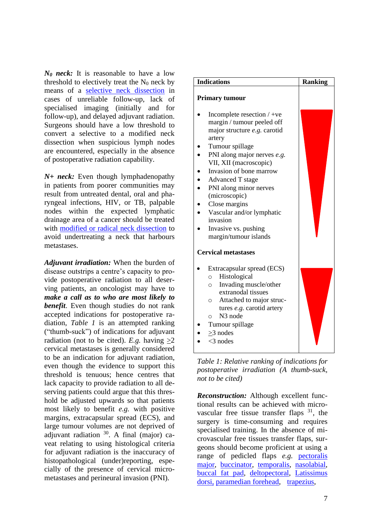*N<sup>0</sup> neck:* It is reasonable to have a low threshold to electively treat the  $N_0$  neck by means of a [selective neck dissection](https://vula.uct.ac.za/access/content/group/ba5fb1bd-be95-48e5-81be-586fbaeba29d/Selective%20neck%20dissection%20operative%20technique.pdf) in cases of unreliable follow-up, lack of specialised imaging (initially and for follow-up), and delayed adjuvant radiation. Surgeons should have a low threshold to convert a selective to a modified neck dissection when suspicious lymph nodes are encountered, especially in the absence of postoperative radiation capability.

*N+ neck:* Even though lymphadenopathy in patients from poorer communities may result from untreated dental, oral and pharyngeal infections, HIV, or TB, palpable nodes within the expected lymphatic drainage area of a cancer should be treated with [modified or radical neck dissection](https://vula.uct.ac.za/access/content/group/ba5fb1bd-be95-48e5-81be-586fbaeba29d/Modified%20and%20radical%20neck%20dissection%20technique.pdf) to avoid undertreating a neck that harbours metastases.

*Adjuvant irradiation:* When the burden of disease outstrips a centre's capacity to provide postoperative radiation to all deserving patients, an oncologist may have to *make a call as to who are most likely to benefit*. Even though studies do not rank accepted indications for postoperative radiation, *Table 1* is an attempted ranking ("thumb-suck") of indications for adjuvant radiation (not to be cited). *E.g.* having  $\geq 2$ cervical metastases is generally considered to be an indication for adjuvant radiation, even though the evidence to support this threshold is tenuous; hence centres that lack capacity to provide radiation to all deserving patients could argue that this threshold be adjusted upwards so that patients most likely to benefit *e.g.* with positive margins, extracapsular spread (ECS), and large tumour volumes are not deprived of adjuvant radiation  $30$ . A final (major) caveat relating to using histological criteria for adjuvant radiation is the inaccuracy of histopathological (under)reporting, especially of the presence of cervical micrometastases and perineural invasion (PNI).

| <b>Indications</b>                                                                                                                                                                                                                                                                                                                                                                           | <b>Ranking</b> |
|----------------------------------------------------------------------------------------------------------------------------------------------------------------------------------------------------------------------------------------------------------------------------------------------------------------------------------------------------------------------------------------------|----------------|
| <b>Primary tumour</b>                                                                                                                                                                                                                                                                                                                                                                        |                |
| Incomplete resection $/$ +ve<br>margin / tumour peeled off<br>major structure e.g. carotid<br>artery<br>Tumour spillage<br>PNI along major nerves e.g.<br>VII, XII (macroscopic)<br>Invasion of bone marrow<br><b>Advanced T stage</b><br>PNI along minor nerves<br>(microscopic)<br>Close margins<br>Vascular and/or lymphatic<br>invasion<br>Invasive vs. pushing<br>margin/tumour islands |                |
| <b>Cervical metastases</b>                                                                                                                                                                                                                                                                                                                                                                   |                |
| Extracapsular spread (ECS)<br>Histological<br>$\circ$<br>Invading muscle/other<br>$\circ$<br>extranodal tissues<br>Attached to major struc-<br>$\circ$<br>tures e.g. carotid artery<br>N <sub>3</sub> node<br>$\circ$<br>Tumour spillage<br>$>3$ nodes<br>$<$ 3 nodes                                                                                                                        |                |

*Table 1: Relative ranking of indications for postoperative irradiation (A thumb-suck, not to be cited)*

*Reconstruction:* Although excellent functional results can be achieved with microvascular free tissue transfer flaps  $31$ , the surgery is time-consuming and requires specialised training. In the absence of microvascular free tissues transfer flaps, surgeons should become proficient at using a range of pedicled flaps *e.g.* [pectoralis](https://vula.uct.ac.za/access/content/group/ba5fb1bd-be95-48e5-81be-586fbaeba29d/Pectoralis%20major%20flap-1.pdf)  [major,](https://vula.uct.ac.za/access/content/group/ba5fb1bd-be95-48e5-81be-586fbaeba29d/Pectoralis%20major%20flap-1.pdf) [buccinator,](https://vula.uct.ac.za/access/content/group/ba5fb1bd-be95-48e5-81be-586fbaeba29d/Buccinator%20myomucosal%20flap-1.pdf) [temporalis,](https://vula.uct.ac.za/access/content/group/ba5fb1bd-be95-48e5-81be-586fbaeba29d/TEMPORALIS%20MUSCLE%20FLAP-1.pdf) [nasolabial,](https://vula.uct.ac.za/access/content/group/ba5fb1bd-be95-48e5-81be-586fbaeba29d/Nasolabial%20flap%20for%20oral%20cavity%20reconstruction.pdf) [buccal fat pad,](https://vula.uct.ac.za/access/content/group/ba5fb1bd-be95-48e5-81be-586fbaeba29d/Buccal%20fat%20pad%20flap-1.pdf) [deltopectoral,](https://vula.uct.ac.za/access/content/group/ba5fb1bd-be95-48e5-81be-586fbaeba29d/Deltopectoral%20flap%20and%20cervicodeltopectoral%20fasciocutaneous%20flaps%20for%20head%20and%20neck%20reconstruction.pdf) [Latissimus](https://vula.uct.ac.za/access/content/group/ba5fb1bd-be95-48e5-81be-586fbaeba29d/Latissimus%20dorsi%20flap%20for%20head%20and%20neck%20reconstruction.pdf)  [dorsi,](https://vula.uct.ac.za/access/content/group/ba5fb1bd-be95-48e5-81be-586fbaeba29d/Latissimus%20dorsi%20flap%20for%20head%20and%20neck%20reconstruction.pdf) [paramedian forehead,](https://vula.uct.ac.za/access/content/group/ba5fb1bd-be95-48e5-81be-586fbaeba29d/Paramedian%20forehead%20flap%20nasal%20reconstruction%20surgical%20technique.pdf) [trapezius,](https://vula.uct.ac.za/access/content/group/ba5fb1bd-be95-48e5-81be-586fbaeba29d/Upper%20and%20lower%20trapezius%20flaps%20for%20head%20and%20neck%20reconstruction.pdf)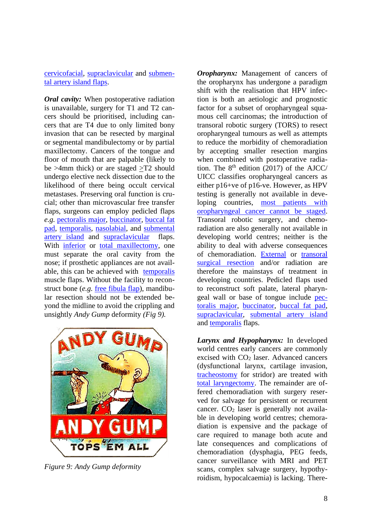[cervicofacial,](https://vula.uct.ac.za/access/content/group/ba5fb1bd-be95-48e5-81be-586fbaeba29d/Cervicofacial%20flaps%20for%20head%20and%20neck%20reconstruction.pdf) [supraclavicular](https://vula.uct.ac.za/access/content/group/ba5fb1bd-be95-48e5-81be-586fbaeba29d/Supraclavicular%20flap%20for%20head%20_%20neck%20reconstruction.pdf) and [submen](https://vula.uct.ac.za/access/content/group/ba5fb1bd-be95-48e5-81be-586fbaeba29d/Submental%20artery%20island%20flap%20technique%20for%20head%20neck%20reconstruction.pdf)[tal artery island flaps.](https://vula.uct.ac.za/access/content/group/ba5fb1bd-be95-48e5-81be-586fbaeba29d/Submental%20artery%20island%20flap%20technique%20for%20head%20neck%20reconstruction.pdf)

*Oral cavity:* When postoperative radiation is unavailable, surgery for T1 and T2 cancers should be prioritised, including cancers that are T4 due to only limited bony invasion that can be resected by marginal or segmental mandibulectomy or by partial maxillectomy. Cancers of the tongue and floor of mouth that are palpable (likely to be >4mm thick) or are staged >T2 should undergo elective neck dissection due to the likelihood of there being occult cervical metastases. Preserving oral function is crucial; other than microvascular free transfer flaps, surgeons can employ pedicled flaps *e.g.* [pectoralis major,](https://vula.uct.ac.za/access/content/group/ba5fb1bd-be95-48e5-81be-586fbaeba29d/Pectoralis%20major%20flap-1.pdf) [buccinator,](https://vula.uct.ac.za/access/content/group/ba5fb1bd-be95-48e5-81be-586fbaeba29d/Buccinator%20myomucosal%20flap-1.pdf) [buccal](https://vula.uct.ac.za/access/content/group/ba5fb1bd-be95-48e5-81be-586fbaeba29d/Buccal%20fat%20pad%20flap-1.pdf) fat [pad,](https://vula.uct.ac.za/access/content/group/ba5fb1bd-be95-48e5-81be-586fbaeba29d/Buccal%20fat%20pad%20flap-1.pdf) [temporalis,](https://vula.uct.ac.za/access/content/group/ba5fb1bd-be95-48e5-81be-586fbaeba29d/TEMPORALIS%20MUSCLE%20FLAP-1.pdf) [nasolabial,](https://vula.uct.ac.za/access/content/group/ba5fb1bd-be95-48e5-81be-586fbaeba29d/Nasolabial%20flap%20for%20oral%20cavity%20reconstruction.pdf) and [submental](https://vula.uct.ac.za/access/content/group/ba5fb1bd-be95-48e5-81be-586fbaeba29d/Submental%20artery%20island%20flap%20technique%20for%20head%20neck%20reconstruction.pdf)  [artery island](https://vula.uct.ac.za/access/content/group/ba5fb1bd-be95-48e5-81be-586fbaeba29d/Submental%20artery%20island%20flap%20technique%20for%20head%20neck%20reconstruction.pdf) and [supraclavicular](https://vula.uct.ac.za/access/content/group/ba5fb1bd-be95-48e5-81be-586fbaeba29d/Supraclavicular%20flap%20for%20head%20_%20neck%20reconstruction.pdf) flaps. With [inferior](https://vula.uct.ac.za/access/content/group/ba5fb1bd-be95-48e5-81be-586fbaeba29d/Inferior%20Maxillectomy.pdf) or [total maxillectomy,](https://vula.uct.ac.za/access/content/group/ba5fb1bd-be95-48e5-81be-586fbaeba29d/Total%20Maxillectomy%20and%20Orbital%20Exenteration.pdf) one must separate the oral cavity from the nose; if prosthetic appliances are not available, this can be achieved with [temporalis](https://vula.uct.ac.za/access/content/group/ba5fb1bd-be95-48e5-81be-586fbaeba29d/TEMPORALIS%20MUSCLE%20FLAP-1.pdf) muscle flaps. Without the facility to reconstruct bone (*e.g.* [free fibula flap\)](https://vula.uct.ac.za/access/content/group/ba5fb1bd-be95-48e5-81be-586fbaeba29d/Vascularised%20free%20fibula%20flap%20_FFF_%20in%20head%20and%20neck%20reconstruction.pdf), mandibular resection should not be extended beyond the midline to avoid the crippling and unsightly *Andy Gump* deformity *(Fig 9).*



*Figure 9: Andy Gump deformity*

*Oropharynx:* Management of cancers of the oropharynx has undergone a paradigm shift with the realisation that HPV infection is both an aetiologic and prognostic factor for a subset of oropharyngeal squamous cell carcinomas; the introduction of transoral robotic surgery (TORS) to resect oropharyngeal tumours as well as attempts to reduce the morbidity of chemoradiation by accepting smaller resection margins when combined with postoperative radiation. The  $8<sup>th</sup>$  edition (2017) of the AJCC/ UICC classifies oropharyngeal cancers as either p16+ve of p16-ve. However, as HPV testing is generally not available in developing countries, [most patients with](https://journals.sagepub.com/doi/full/10.1177/2473974X20938313)  [oropharyngeal cancer cannot](https://journals.sagepub.com/doi/full/10.1177/2473974X20938313) be staged. Transoral robotic surgery, and chemoradiation are also generally not available in developing world centres; neither is the ability to deal with adverse consequences of chemoradiation. External or [transoral](https://vula.uct.ac.za/access/content/group/ba5fb1bd-be95-48e5-81be-586fbaeba29d/Transoral%20lateral%20oropharyngectomy%20_radical%20tonsillectomy_%20for%20cancer%20of%20the%20tonsil.pdf)  [surgical resection](https://vula.uct.ac.za/access/content/group/ba5fb1bd-be95-48e5-81be-586fbaeba29d/Transoral%20lateral%20oropharyngectomy%20_radical%20tonsillectomy_%20for%20cancer%20of%20the%20tonsil.pdf) and/or radiation are therefore the mainstays of treatment in developing countries. Pedicled flaps used to reconstruct soft palate, lateral pharyngeal wall or base of tongue include [pec](https://vula.uct.ac.za/access/content/group/ba5fb1bd-be95-48e5-81be-586fbaeba29d/Pectoralis%20major%20flap-1.pdf)[toralis major,](https://vula.uct.ac.za/access/content/group/ba5fb1bd-be95-48e5-81be-586fbaeba29d/Pectoralis%20major%20flap-1.pdf) [buccinator,](https://vula.uct.ac.za/access/content/group/ba5fb1bd-be95-48e5-81be-586fbaeba29d/Buccinator%20myomucosal%20flap-1.pdf) [buccal](https://vula.uct.ac.za/access/content/group/ba5fb1bd-be95-48e5-81be-586fbaeba29d/Buccal%20fat%20pad%20flap-1.pdf) fat pad, [supraclavicular,](https://vula.uct.ac.za/access/content/group/ba5fb1bd-be95-48e5-81be-586fbaeba29d/Supraclavicular%20flap%20for%20head%20_%20neck%20reconstruction.pdf) [submental artery island](https://vula.uct.ac.za/access/content/group/ba5fb1bd-be95-48e5-81be-586fbaeba29d/Submental%20artery%20island%20flap%20technique%20for%20head%20neck%20reconstruction.pdf) and [temporalis](https://vula.uct.ac.za/access/content/group/ba5fb1bd-be95-48e5-81be-586fbaeba29d/TEMPORALIS%20MUSCLE%20FLAP-1.pdf) flaps.

*Larynx and Hypopharynx:* In developed world centres early cancers are commonly excised with CO<sup>2</sup> laser. Advanced cancers (dysfunctional larynx, cartilage invasion, [tracheostomy](https://vula.uct.ac.za/access/content/group/ba5fb1bd-be95-48e5-81be-586fbaeba29d/TRACHEOSTOMY.pdf) for stridor) are treated with total [laryngectomy.](https://vula.uct.ac.za/access/content/group/ba5fb1bd-be95-48e5-81be-586fbaeba29d/Total%20laryngectomy.pdf) The remainder are offered chemoradiation with surgery reserved for salvage for persistent or recurrent cancer.  $CO<sub>2</sub>$  laser is generally not available in developing world centres; chemoradiation is expensive and the package of care required to manage both acute and late consequences and complications of chemoradiation (dysphagia, PEG feeds, cancer surveillance with MRI and PET scans, complex salvage surgery, hypothyroidism, hypocalcaemia) is lacking. There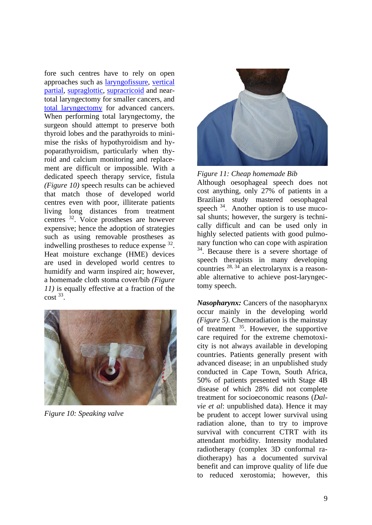fore such centres have to rely on open approaches such as [laryngofissure,](https://vula.uct.ac.za/access/content/group/ba5fb1bd-be95-48e5-81be-586fbaeba29d/Laryngofissure%20technique.pdf) [vertical](https://vula.uct.ac.za/access/content/group/ba5fb1bd-be95-48e5-81be-586fbaeba29d/Vertical%20%20partial%20laryngectomy.pdf) [partial,](https://vula.uct.ac.za/access/content/group/ba5fb1bd-be95-48e5-81be-586fbaeba29d/Vertical%20%20partial%20laryngectomy.pdf) [supraglottic,](https://vula.uct.ac.za/access/content/group/ba5fb1bd-be95-48e5-81be-586fbaeba29d/Supraglottic%20laryngectomy.pdf) [supracricoid](https://vula.uct.ac.za/access/content/group/ba5fb1bd-be95-48e5-81be-586fbaeba29d/Supracricoid%20laryngectomy.pdf) and neartotal laryngectomy for smaller cancers, and total [laryngectomy](https://vula.uct.ac.za/access/content/group/ba5fb1bd-be95-48e5-81be-586fbaeba29d/Total%20laryngectomy.pdf) for advanced cancers. When performing total laryngectomy, the surgeon should attempt to preserve both thyroid lobes and the parathyroids to minimise the risks of hypothyroidism and hypoparathyroidism, particularly when thyroid and calcium monitoring and replacement are difficult or impossible. With a dedicated speech therapy service, fistula *(Figure 10)* speech results can be achieved that match those of developed world centres even with poor, illiterate patients living long distances from treatment centres <sup>32</sup>. Voice prostheses are however expensive; hence the adoption of strategies such as using removable prostheses as indwelling prostheses to reduce expense <sup>32</sup>. Heat moisture exchange (HME) devices are used in developed world centres to humidify and warm inspired air; however, a homemade cloth stoma cover/bib *(Figure 11)* is equally effective at a fraction of the  $\cot^{33}$ .



*Figure 10: Speaking valve*





Although oesophageal speech does not cost anything, only 27% of patients in a Brazilian study mastered oesophageal speech  $34$ . Another option is to use mucosal shunts; however, the surgery is technically difficult and can be used only in highly selected patients with good pulmonary function who can cope with aspiration <sup>34</sup>. Because there is a severe shortage of speech therapists in many developing countries <sup>28, 34</sup> an electrolarynx is a reasonable alternative to achieve post-laryngectomy speech.

*Nasopharynx:* Cancers of the nasopharynx occur mainly in the developing world *(Figure 5)*. Chemoradiation is the mainstay of treatment <sup>35</sup>. However, the supportive care required for the extreme chemotoxicity is not always available in developing countries. Patients generally present with advanced disease; in an unpublished study conducted in Cape Town, South Africa, 50% of patients presented with Stage 4B disease of which 28% did not complete treatment for socioeconomic reasons (*Dalvie et al*: unpublished data). Hence it may be prudent to accept lower survival using radiation alone, than to try to improve survival with concurrent CTRT with its attendant morbidity. Intensity modulated radiotherapy (complex 3D conformal radiotherapy) has a documented survival benefit and can improve quality of life due to reduced xerostomia; however, this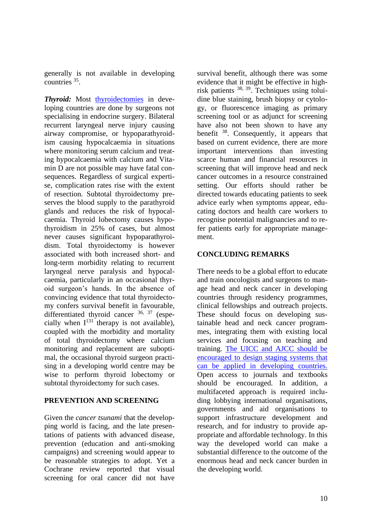generally is not available in developing countries <sup>35</sup>.

Thyroid: Most thyroidectomies in developing countries are done by surgeons not specialising in endocrine surgery. Bilateral recurrent laryngeal nerve injury causing airway compromise, or hypoparathyroidism causing hypocalcaemia in situations where monitoring serum calcium and treating hypocalcaemia with calcium and Vitamin D are not possible may have fatal consequences. Regardless of surgical expertise, complication rates rise with the extent of resection. Subtotal thyroidectomy preserves the blood supply to the parathyroid glands and reduces the risk of hypocalcaemia. Thyroid lobectomy causes hypothyroidism in 25% of cases, but almost never causes significant hypoparathyroidism. Total thyroidectomy is however associated with both increased short- and long-term morbidity relating to recurrent laryngeal nerve paralysis and hypocalcaemia, particularly in an occasional thyroid surgeon's hands. In the absence of convincing evidence that total thyroidectomy confers survival benefit in favourable, differentiated thyroid cancer <sup>36, 37</sup> (especially when  $I^{131}$  therapy is not available), coupled with the morbidity and mortality of total thyroidectomy where calcium monitoring and replacement are suboptimal, the occasional thyroid surgeon practising in a developing world centre may be wise to perform thyroid lobectomy or subtotal thyroidectomy for such cases.

## **PREVENTION AND SCREENING**

Given the *cancer tsunami* that the developping world is facing, and the late presentations of patients with advanced disease, prevention (education and anti-smoking campaigns) and screening would appear to be reasonable strategies to adopt. Yet a Cochrane review reported that visual screening for oral cancer did not have

survival benefit, although there was some evidence that it might be effective in highrisk patients 38, 39 . Techniques using toluidine blue staining, brush biopsy or cytology, or fluorescence imaging as primary screening tool or as adjunct for screening have also not been shown to have any benefit <sup>38</sup>. Consequently, it appears that based on current evidence, there are more important interventions than investing scarce human and financial resources in screening that will improve head and neck cancer outcomes in a resource constrained setting. Our efforts should rather be directed towards educating patients to seek advice early when symptoms appear, educating doctors and health care workers to recognise potential malignancies and to refer patients early for appropriate management.

# **CONCLUDING REMARKS**

There needs to be a global effort to educate and train oncologists and surgeons to manage head and neck cancer in developing countries through residency programmes, clinical fellowships and outreach projects. These should focus on developing sustainable head and neck cancer programmes, integrating them with existing local services and focusing on teaching and training. [The UICC and AJCC should be](https://journals.sagepub.com/doi/full/10.1177/2473974X20938313)  [encouraged to design staging systems that](https://journals.sagepub.com/doi/full/10.1177/2473974X20938313)  [can be applied in developing countries.](https://journals.sagepub.com/doi/full/10.1177/2473974X20938313) Open access to journals and textbooks should be encouraged. In addition, a multifaceted approach is required including lobbying international organisations, governments and aid organisations to support infrastructure development and research, and for industry to provide appropriate and affordable technology. In this way the developed world can make a substantial difference to the outcome of the enormous head and neck cancer burden in the developing world.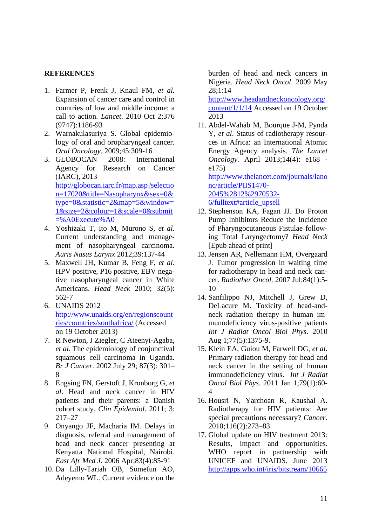# **REFERENCES**

- 1. Farmer P, Frenk J, Knaul FM, *et al.* Expansion of cancer care and control in countries of low and middle income: a call to action. *Lancet*. 2010 Oct 2;376 (9747):1186-93
- 2. Warnakulasuriya S. Global epidemiology of oral and oropharyngeal cancer. *Oral Oncology.* 2009;45:309-16
- 3. GLOBOCAN 2008: International Agency for Research on Cancer (IARC), 2013 [http://globocan.iarc.fr/map.asp?selectio](http://globocan.iarc.fr/map.asp?selection=17020&title=Nasopharynx&sex=0&type=0&statistic=2&map=5&window=1&size=2&colour=1&scale=0&submit=%A0Execute%A0) [n=17020&title=Nasopharynx&sex=0&](http://globocan.iarc.fr/map.asp?selection=17020&title=Nasopharynx&sex=0&type=0&statistic=2&map=5&window=1&size=2&colour=1&scale=0&submit=%A0Execute%A0) [type=0&statistic=2&map=5&window=](http://globocan.iarc.fr/map.asp?selection=17020&title=Nasopharynx&sex=0&type=0&statistic=2&map=5&window=1&size=2&colour=1&scale=0&submit=%A0Execute%A0) [1&size=2&colour=1&scale=0&submit](http://globocan.iarc.fr/map.asp?selection=17020&title=Nasopharynx&sex=0&type=0&statistic=2&map=5&window=1&size=2&colour=1&scale=0&submit=%A0Execute%A0)  $=$ %A0Execute%A0
- 4. Yoshizaki T, Ito M, Murono S, *et al.* Current understanding and management of nasopharyngeal carcinoma. *Auris Nasus Larynx* 2012;39:137-44
- 5. Maxwell JH, Kumar B, Feng F, *et al*. HPV positive, P16 positive, EBV negative nasopharyngeal cancer in White Americans. *Head Neck* 2010; 32(5): 562-7
- 6. UNAIDS 2012 [http://www.unaids.org/en/regionscount](http://www.unaids.org/en/regionscountries/countries/southafrica/) [ries/countries/southafrica/](http://www.unaids.org/en/regionscountries/countries/southafrica/) (Accessed on 19 October 2013)
- 7. R Newton, J Ziegler, C Ateenyi-Agaba, *et al*. The epidemiology of conjunctival squamous cell carcinoma in Uganda. *Br J Cancer.* 2002 July 29; 87(3): 301– 8
- 8. Engsing FN, Gerstoft J, Kronborg G, *et al*. Head and neck cancer in HIV patients and their parents: a Danish cohort study. *Clin Epidemiol*. 2011; 3: 217–27
- 9. Onyango JF, Macharia IM. Delays in diagnosis, referral and management of head and neck cancer presenting at Kenyatta National Hospital, Nairobi. *East Afr Med J.* 2006 Apr;83(4):85-91
- 10. Da Lilly-Tariah OB, Somefun AO, Adeyemo WL. Current evidence on the

burden of head and neck cancers in Nigeria. *Head Neck Oncol*. 2009 May 28;1:14

[http://www.headandneckoncology.org/](http://www.headandneckoncology.org/content/1/1/14) [content/1/1/14](http://www.headandneckoncology.org/content/1/1/14) Accessed on 19 October 2013

11. Abdel-Wahab M, Bourque J-M, Pynda Y, *et al*. Status of radiotherapy resources in Africa: an International Atomic Energy Agency analysis. *The Lancet Oncology.* April 2013;14(4): e168 e175)

[http://www.thelancet.com/journals/lano](http://www.thelancet.com/journals/lanonc/article/PIIS1470-2045%2812%2970532-6/fulltext#article_upsell) [nc/article/PIIS1470-](http://www.thelancet.com/journals/lanonc/article/PIIS1470-2045%2812%2970532-6/fulltext#article_upsell) [2045%2812%2970532-](http://www.thelancet.com/journals/lanonc/article/PIIS1470-2045%2812%2970532-6/fulltext#article_upsell) [6/fulltext#article\\_upsell](http://www.thelancet.com/journals/lanonc/article/PIIS1470-2045%2812%2970532-6/fulltext#article_upsell)

- 12. Stephenson KA, Fagan JJ. Do Proton Pump Inhibitors Reduce the Incidence of Pharyngocutaneous Fistulae following Total Laryngectomy? *Head Neck*  [Epub ahead of print]
- 13. Jensen AR, Nellemann HM, Overgaard J. Tumor progression in waiting time for radiotherapy in head and neck cancer. *Radiother Oncol.* 2007 Jul;84(1):5- 10
- 14. Sanfilippo NJ, Mitchell J, Grew D, DeLacure M. Toxicity of head-andneck radiation therapy in human immunodeficiency virus-positive patients *Int J Radiat Oncol Biol Phys*. 2010 Aug 1;77(5):1375-9.
- 15. Klein EA, Guiou M, Farwell DG, *et al.* Primary radiation therapy for head and neck cancer in the setting of human immunodeficiency virus. *Int J Radiat Oncol Biol Phys.* 2011 Jan 1;79(1):60-  $\boldsymbol{\Lambda}$
- 16. Housri N, Yarchoan R, Kaushal A. Radiotherapy for HIV patients: Are special precautions necessary? *Cancer*. 2010;116(2):273–83
- 17. Global update on HIV treatment 2013: Results, impact and opportunities. WHO report in partnership with UNICEF and UNAIDS. June 2013 [http://apps.who.int/iris/bitstream/10665](http://apps.who.int/iris/bitstream/10665/85326/1/9789241505734_eng.pdf)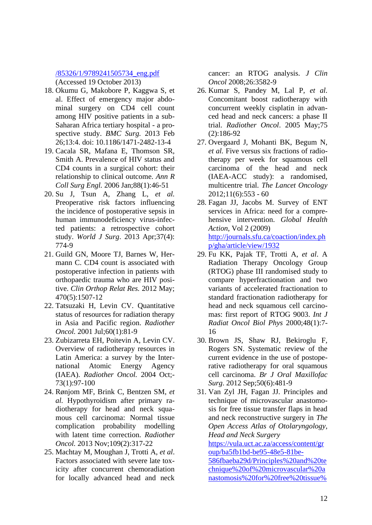## [/85326/1/9789241505734\\_eng.pdf](http://apps.who.int/iris/bitstream/10665/85326/1/9789241505734_eng.pdf)

(Accessed 19 October 2013)

- 18. Okumu G, Makobore P, Kaggwa S, et al. Effect of emergency major abdominal surgery on CD4 cell count among HIV positive patients in a sub-Saharan Africa tertiary hospital - a prospective study. *BMC Surg.* 2013 Feb 26;13:4. doi: 10.1186/1471-2482-13-4
- 19. Cacala SR, Mafana E, Thomson SR, Smith A. Prevalence of HIV status and CD4 counts in a surgical cohort: their relationship to clinical outcome. *Ann R Coll Surg Engl.* 2006 Jan;88(1):46-51
- 20. Su J, Tsun A, Zhang L, *et al.* Preoperative risk factors influencing the incidence of postoperative sepsis in human immunodeficiency virus-infected patients: a retrospective cohort study. *World J Surg*. 2013 Apr;37(4): 774-9
- 21. Guild GN, Moore TJ, Barnes W, Hermann C. CD4 count is associated with postoperative infection in patients with orthopaedic trauma who are HIV positive. *Clin Orthop Relat Res.* 2012 May; 470(5):1507-12
- 22. Tatsuzaki H, Levin CV. Quantitative status of resources for radiation therapy in Asia and Pacific region. *Radiother Oncol.* 2001 Jul;60(1):81-9
- 23. Zubizarreta EH, Poitevin A, Levin CV. Overview of radiotherapy resources in Latin America: a survey by the International Atomic Energy Agency (IAEA). *Radiother Oncol.* 2004 Oct;- 73(1):97-100
- 24. Rønjom MF, Brink C, Bentzen SM, *et al.* Hypothyroidism after primary radiotherapy for head and neck squamous cell carcinoma: Normal tissue complication probability modelling with latent time correction. *Radiother Oncol.* 2013 Nov;109(2):317-22
- 25. Machtay M, Moughan J, Trotti A, *et al*. Factors associated with severe late toxicity after concurrent chemoradiation for locally advanced head and neck

cancer: an RTOG analysis. *J Clin Oncol* 2008;26:3582-9

- 26. Kumar S, Pandey M, Lal P, *et al.* Concomitant boost radiotherapy with concurrent weekly cisplatin in advanced head and neck cancers: a phase II trial. *Radiother Oncol*. 2005 May;75 (2):186-92
- 27. Overgaard J, Mohanti BK, Begum N, *et al.* Five versus six fractions of radiotherapy per week for squamous cell carcinoma of the head and neck (IAEA-ACC study): a randomised, multicentre trial. *The Lancet Oncology*  $2012;11(6):553 - 60$
- 28. Fagan JJ, Jacobs M. Survey of ENT services in Africa: need for a comprehensive intervention. *Global Health Action*, Vol 2 (2009) [http://journals.sfu.ca/coaction/index.ph](http://journals.sfu.ca/coaction/index.php/gha/article/view/1932) [p/gha/article/view/1932](http://journals.sfu.ca/coaction/index.php/gha/article/view/1932)
- 29. Fu KK, Pajak TF, Trotti A, *et al*. A Radiation Therapy Oncology Group (RTOG) phase III randomised study to compare hyperfractionation and two variants of accelerated fractionation to standard fractionation radiotherapy for head and neck squamous cell carcinomas: first report of RTOG 9003. *Int J Radiat Oncol Biol Phys* 2000;48(1):7- 16
- 30. Brown JS, Shaw RJ, Bekiroglu F, Rogers SN. Systematic review of the current evidence in the use of postoperative radiotherapy for oral squamous cell carcinoma. *Br J Oral Maxillofac Surg*. 2012 Sep;50(6):481-9
- 31. Van Zyl JH, Fagan JJ. Principles and technique of microvascular anastomosis for free tissue transfer flaps in head and neck reconstructive surgery in *The Open Access Atlas of Otolaryngology, Head and Neck Surgery*

[https://vula.uct.ac.za/access/content/gr](https://vula.uct.ac.za/access/content/group/ba5fb1bd-be95-48e5-81be-586fbaeba29d/Principles%20and%20technique%20of%20microvascular%20anastomosis%20for%20free%20tissue%20transfer%20flaps%20in%20head%20and%20neck%20reconstructive%20surgery.pdf) [oup/ba5fb1bd-be95-48e5-81be-](https://vula.uct.ac.za/access/content/group/ba5fb1bd-be95-48e5-81be-586fbaeba29d/Principles%20and%20technique%20of%20microvascular%20anastomosis%20for%20free%20tissue%20transfer%20flaps%20in%20head%20and%20neck%20reconstructive%20surgery.pdf)[586fbaeba29d/Principles%20and%20te](https://vula.uct.ac.za/access/content/group/ba5fb1bd-be95-48e5-81be-586fbaeba29d/Principles%20and%20technique%20of%20microvascular%20anastomosis%20for%20free%20tissue%20transfer%20flaps%20in%20head%20and%20neck%20reconstructive%20surgery.pdf) [chnique%20of%20microvascular%20a](https://vula.uct.ac.za/access/content/group/ba5fb1bd-be95-48e5-81be-586fbaeba29d/Principles%20and%20technique%20of%20microvascular%20anastomosis%20for%20free%20tissue%20transfer%20flaps%20in%20head%20and%20neck%20reconstructive%20surgery.pdf) [nastomosis%20for%20free%20tissue%](https://vula.uct.ac.za/access/content/group/ba5fb1bd-be95-48e5-81be-586fbaeba29d/Principles%20and%20technique%20of%20microvascular%20anastomosis%20for%20free%20tissue%20transfer%20flaps%20in%20head%20and%20neck%20reconstructive%20surgery.pdf)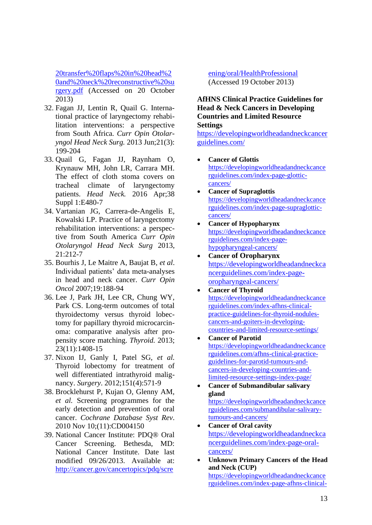[20transfer%20flaps%20in%20head%2](https://vula.uct.ac.za/access/content/group/ba5fb1bd-be95-48e5-81be-586fbaeba29d/Principles%20and%20technique%20of%20microvascular%20anastomosis%20for%20free%20tissue%20transfer%20flaps%20in%20head%20and%20neck%20reconstructive%20surgery.pdf) [0and%20neck%20reconstructive%20su](https://vula.uct.ac.za/access/content/group/ba5fb1bd-be95-48e5-81be-586fbaeba29d/Principles%20and%20technique%20of%20microvascular%20anastomosis%20for%20free%20tissue%20transfer%20flaps%20in%20head%20and%20neck%20reconstructive%20surgery.pdf) [rgery.pdf](https://vula.uct.ac.za/access/content/group/ba5fb1bd-be95-48e5-81be-586fbaeba29d/Principles%20and%20technique%20of%20microvascular%20anastomosis%20for%20free%20tissue%20transfer%20flaps%20in%20head%20and%20neck%20reconstructive%20surgery.pdf) (Accessed on 20 October 2013)

- 32. Fagan JJ, Lentin R, Quail G. International practice of laryngectomy rehabilitation interventions: a perspective from South Africa. *Curr Opin Otolaryngol Head Neck Surg.* 2013 Jun;21(3): 199-204
- 33. Quail G, Fagan JJ, Raynham O, Krynauw MH, John LR, Carrara MH. The effect of cloth stoma covers on tracheal climate of laryngectomy patients. *Head Neck.* 2016 Apr;38 Suppl 1:E480-7
- 34. Vartanian JG, Carrera-de-Angelis E, Kowalski LP. Practice of laryngectomy rehabilitation interventions: a perspective from South America *Curr Opin Otolaryngol Head Neck Surg* 2013, 21:212-7
- 35. Bourhis J, Le Maitre A, Baujat B, *et al*. Individual patients' data meta-analyses in head and neck cancer. *Curr Opin Oncol* 2007;19:188-94
- 36. Lee J, Park JH, Lee CR, Chung WY, Park CS. Long-term outcomes of total thyroidectomy versus thyroid lobectomy for papillary thyroid microcarcinoma: comparative analysis after propensity score matching. *Thyroid.* 2013; 23(11):1408-15
- 37. Nixon IJ, Ganly I, Patel SG, *et al.* Thyroid lobectomy for treatment of well differentiated intrathyroid malignancy. *Surgery*. 2012;151(4):571-9
- 38. Brocklehurst P, Kujan O, Glenny AM, *et al.* Screening programmes for the early detection and prevention of oral cancer. *Cochrane Database Syst Rev*. 2010 Nov 10;(11):CD004150
- 39. National Cancer Institute: PDQ® Oral Cancer Screening. Bethesda, MD: National Cancer Institute. Date last modified 09/26/2013. Available at: [http://cancer.gov/cancertopics/pdq/scre](http://cancer.gov/cancertopics/pdq/screening/oral/HealthProfessional)

[ening/oral/HealthProfessional](http://cancer.gov/cancertopics/pdq/screening/oral/HealthProfessional) (Accessed 19 October 2013)

**AfHNS Clinical Practice Guidelines for Head & Neck Cancers in Developing Countries and Limited Resource Settings**

[https://developingworldheadandneckcancer](https://developingworldheadandneckcancerguidelines.com/) [guidelines.com/](https://developingworldheadandneckcancerguidelines.com/)

- **Cancer of Glottis** [https://developingworldheadandneckcance](https://developingworldheadandneckcancerguidelines.com/index-page-glottic-cancers/) [rguidelines.com/index-page-glottic](https://developingworldheadandneckcancerguidelines.com/index-page-glottic-cancers/)[cancers/](https://developingworldheadandneckcancerguidelines.com/index-page-glottic-cancers/)
- **Cancer of Supraglottis**  [https://developingworldheadandneckcance](https://developingworldheadandneckcancerguidelines.com/index-page-supraglottic-cancers/) [rguidelines.com/index-page-supraglottic](https://developingworldheadandneckcancerguidelines.com/index-page-supraglottic-cancers/)[cancers/](https://developingworldheadandneckcancerguidelines.com/index-page-supraglottic-cancers/)
- **Cancer of Hypopharynx**  [https://developingworldheadandneckcance](https://developingworldheadandneckcancerguidelines.com/index-page-hypopharyngeal-cancers/) [rguidelines.com/index-page](https://developingworldheadandneckcancerguidelines.com/index-page-hypopharyngeal-cancers/)[hypopharyngeal-cancers/](https://developingworldheadandneckcancerguidelines.com/index-page-hypopharyngeal-cancers/)
- **Cancer of Oropharynx** [https://developingworldheadandneckca](https://developingworldheadandneckcancerguidelines.com/index-page-oropharyngeal-cancers/) [ncerguidelines.com/index-page](https://developingworldheadandneckcancerguidelines.com/index-page-oropharyngeal-cancers/)[oropharyngeal-cancers/](https://developingworldheadandneckcancerguidelines.com/index-page-oropharyngeal-cancers/)
- **Cancer of Thyroid**  [https://developingworldheadandneckcance](https://developingworldheadandneckcancerguidelines.com/index-afhns-clinical-practice-guidelines-for-thyroid-nodules-cancers-and-goiters-in-developing-countries-and-limited-resource-settings/) [rguidelines.com/index-afhns-clinical](https://developingworldheadandneckcancerguidelines.com/index-afhns-clinical-practice-guidelines-for-thyroid-nodules-cancers-and-goiters-in-developing-countries-and-limited-resource-settings/)[practice-guidelines-for-thyroid-nodules](https://developingworldheadandneckcancerguidelines.com/index-afhns-clinical-practice-guidelines-for-thyroid-nodules-cancers-and-goiters-in-developing-countries-and-limited-resource-settings/)[cancers-and-goiters-in-developing](https://developingworldheadandneckcancerguidelines.com/index-afhns-clinical-practice-guidelines-for-thyroid-nodules-cancers-and-goiters-in-developing-countries-and-limited-resource-settings/)[countries-and-limited-resource-settings/](https://developingworldheadandneckcancerguidelines.com/index-afhns-clinical-practice-guidelines-for-thyroid-nodules-cancers-and-goiters-in-developing-countries-and-limited-resource-settings/)
- **Cancer of Parotid** [https://developingworldheadandneckcance](https://developingworldheadandneckcancerguidelines.com/afhns-clinical-practice-guidelines-for-parotid-tumours-and-cancers-in-developing-countries-and-limited-resource-settings-index-page/) [rguidelines.com/afhns-clinical-practice](https://developingworldheadandneckcancerguidelines.com/afhns-clinical-practice-guidelines-for-parotid-tumours-and-cancers-in-developing-countries-and-limited-resource-settings-index-page/)[guidelines-for-parotid-tumours-and](https://developingworldheadandneckcancerguidelines.com/afhns-clinical-practice-guidelines-for-parotid-tumours-and-cancers-in-developing-countries-and-limited-resource-settings-index-page/)[cancers-in-developing-countries-and](https://developingworldheadandneckcancerguidelines.com/afhns-clinical-practice-guidelines-for-parotid-tumours-and-cancers-in-developing-countries-and-limited-resource-settings-index-page/)[limited-resource-settings-index-page/](https://developingworldheadandneckcancerguidelines.com/afhns-clinical-practice-guidelines-for-parotid-tumours-and-cancers-in-developing-countries-and-limited-resource-settings-index-page/)
- **Cancer of Submandibular salivary gland**  [https://developingworldheadandneckcance](https://developingworldheadandneckcancerguidelines.com/submandibular-salivary-tumours-and-cancers/) [rguidelines.com/submandibular-salivary](https://developingworldheadandneckcancerguidelines.com/submandibular-salivary-tumours-and-cancers/)[tumours-and-cancers/](https://developingworldheadandneckcancerguidelines.com/submandibular-salivary-tumours-and-cancers/)
- **Cancer of Oral cavity** [https://developingworldheadandneckca](https://developingworldheadandneckcancerguidelines.com/index-page-oral-cancers/) [ncerguidelines.com/index-page-oral](https://developingworldheadandneckcancerguidelines.com/index-page-oral-cancers/)[cancers/](https://developingworldheadandneckcancerguidelines.com/index-page-oral-cancers/)
- **Unknown Primary Cancers of the Head and Neck (CUP)** [https://developingworldheadandneckcance](https://developingworldheadandneckcancerguidelines.com/index-page-afhns-clinical-practice-guidelines-for-unknown-occult-primary-cancer-cup-of-the-head-neck/) [rguidelines.com/index-page-afhns-clinical-](https://developingworldheadandneckcancerguidelines.com/index-page-afhns-clinical-practice-guidelines-for-unknown-occult-primary-cancer-cup-of-the-head-neck/)